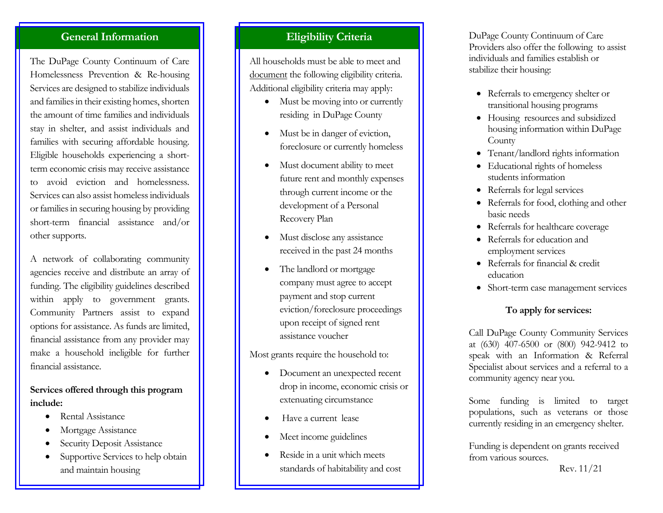## **General Information**

The DuPage County Continuum of Care Homelessness Prevention & Re-housing Services are designed to stabilize individuals and families in their existing homes, shorten the amount of time families and individuals stay in shelter, and assist individuals and families with securing affordable housing. Eligible households experiencing a shortterm economic crisis may receive assistance to avoid eviction and homelessness. Services can also assist homeless individuals or families in securing housing by providing short-term financial assistance and/or other supports.

A network of collaborating community agencies receive and distribute an array of funding. The eligibility guidelines described within apply to government grants. Community Partners assist to expand options for assistance. As funds are limited, financial assistance from any provider may make a household ineligible for further financial assistance.

#### **Services offered through this program include:**

- Rental Assistance
- Mortgage Assistance
- Security Deposit Assistance
- Supportive Services to help obtain and maintain housing

## **Eligibility Criteria**

All households must be able to meet and document the following eligibility criteria. Additional eligibility criteria may apply:

- Must be moving into or currently residing in DuPage County
- Must be in danger of eviction, foreclosure or currently homeless
- Must document ability to meet future rent and monthly expenses through current income or the development of a Personal Recovery Plan
- Must disclose any assistance received in the past 24 months
- The landlord or mortgage company must agree to accept payment and stop current eviction/foreclosure proceedings upon receipt of signed rent assistance voucher

Most grants require the household to:

- Document an unexpected recent drop in income, economic crisis or extenuating circumstance
- Have a current lease
- Meet income guidelines
- Reside in a unit which meets standards of habitability and cost

DuPage County Continuum of Care Providers also offer the following to assist individuals and families establish or stabilize their housing:

- Referrals to emergency shelter or transitional housing programs
- Housing resources and subsidized housing information within DuPage County
- Tenant/landlord rights information
- Educational rights of homeless students information
- Referrals for legal services
- Referrals for food, clothing and other basic needs
- Referrals for healthcare coverage
- Referrals for education and employment services
- Referrals for financial & credit education
- Short-term case management services

#### **To apply for services:**

Call DuPage County Community Services at (630) 407-6500 or (800) 942-9412 to speak with an Information & Referral Specialist about services and a referral to a community agency near you.

Some funding is limited to target populations, such as veterans or those currently residing in an emergency shelter.

Funding is dependent on grants received from various sources.

Rev. 11/21